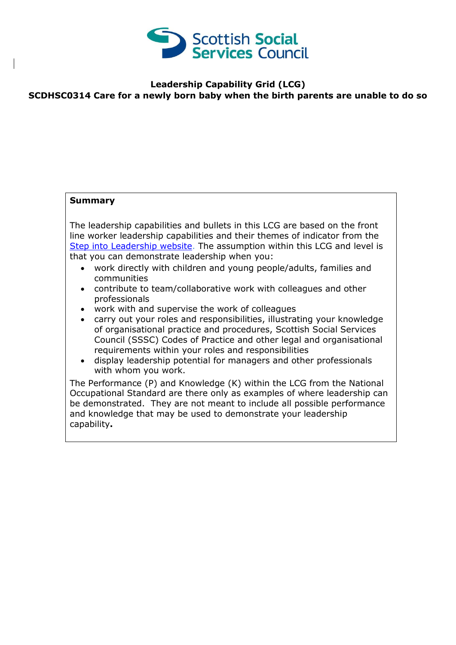

## **Leadership Capability Grid (LCG) SCDHSC0314 Care for a newly born baby when the birth parents are unable to do so**

## **Summary**

The leadership capabilities and bullets in this LCG are based on the front line worker leadership capabilities and their themes of indicator from the [Step into Leadership website.](http://www.stepintoleadership.info/) The assumption within this LCG and level is that you can demonstrate leadership when you:

- work directly with children and young people/adults, families and communities
- contribute to team/collaborative work with colleagues and other professionals
- work with and supervise the work of colleagues
- carry out your roles and responsibilities, illustrating your knowledge of organisational practice and procedures, Scottish Social Services Council (SSSC) Codes of Practice and other legal and organisational requirements within your roles and responsibilities
- display leadership potential for managers and other professionals with whom you work.

The Performance (P) and Knowledge (K) within the LCG from the National Occupational Standard are there only as examples of where leadership can be demonstrated. They are not meant to include all possible performance and knowledge that may be used to demonstrate your leadership capability**.**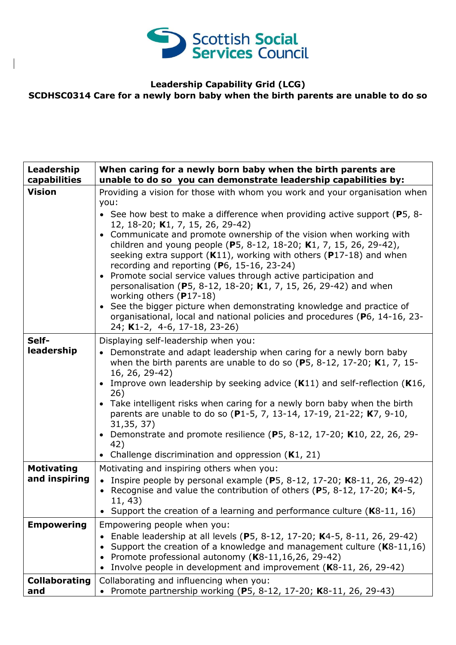

## **Leadership Capability Grid (LCG) SCDHSC0314 Care for a newly born baby when the birth parents are unable to do so**

| Leadership<br>capabilities         | When caring for a newly born baby when the birth parents are<br>unable to do so you can demonstrate leadership capabilities by:                                                                                                                                                                                                                                                                                                                                                                                                                                                                                                                                                                                                                                                                                                               |
|------------------------------------|-----------------------------------------------------------------------------------------------------------------------------------------------------------------------------------------------------------------------------------------------------------------------------------------------------------------------------------------------------------------------------------------------------------------------------------------------------------------------------------------------------------------------------------------------------------------------------------------------------------------------------------------------------------------------------------------------------------------------------------------------------------------------------------------------------------------------------------------------|
| <b>Vision</b>                      | Providing a vision for those with whom you work and your organisation when<br>you:<br>• See how best to make a difference when providing active support ( $P_5$ , 8-<br>12, 18-20; K1, 7, 15, 26, 29-42)<br>• Communicate and promote ownership of the vision when working with<br>children and young people (P5, 8-12, 18-20; K1, 7, 15, 26, 29-42),<br>seeking extra support $(K11)$ , working with others (P17-18) and when<br>recording and reporting ( $P_6$ , 15-16, 23-24)<br>• Promote social service values through active participation and<br>personalisation (P5, 8-12, 18-20; K1, 7, 15, 26, 29-42) and when<br>working others $(P17-18)$<br>• See the bigger picture when demonstrating knowledge and practice of<br>organisational, local and national policies and procedures (P6, 14-16, 23-<br>24; K1-2, 4-6, 17-18, 23-26) |
| Self-<br>leadership                | Displaying self-leadership when you:<br>• Demonstrate and adapt leadership when caring for a newly born baby<br>when the birth parents are unable to do so ( $P$ 5, 8-12, 17-20; K1, 7, 15-<br>16, 26, 29-42)<br>Improve own leadership by seeking advice $(K11)$ and self-reflection $(K16)$ ,<br>26)<br>• Take intelligent risks when caring for a newly born baby when the birth<br>parents are unable to do so (P1-5, 7, 13-14, 17-19, 21-22; K7, 9-10,<br>31,35,37)<br>• Demonstrate and promote resilience (P5, 8-12, 17-20; K10, 22, 26, 29-<br>42)<br>• Challenge discrimination and oppression $(K1, 21)$                                                                                                                                                                                                                            |
| <b>Motivating</b><br>and inspiring | Motivating and inspiring others when you:<br>• Inspire people by personal example (P5, 8-12, 17-20; K8-11, 26, 29-42)<br>Recognise and value the contribution of others (P5, 8-12, 17-20; K4-5,<br>11, 43)<br>Support the creation of a learning and performance culture (K8-11, 16)                                                                                                                                                                                                                                                                                                                                                                                                                                                                                                                                                          |
| <b>Empowering</b>                  | Empowering people when you:<br>Enable leadership at all levels (P5, 8-12, 17-20; K4-5, 8-11, 26, 29-42)<br>Support the creation of a knowledge and management culture ( $K8-11,16$ )<br>Promote professional autonomy (K8-11,16,26, 29-42)<br>Involve people in development and improvement (K8-11, 26, 29-42)                                                                                                                                                                                                                                                                                                                                                                                                                                                                                                                                |
| <b>Collaborating</b><br>and        | Collaborating and influencing when you:<br>Promote partnership working (P5, 8-12, 17-20; K8-11, 26, 29-43)<br>$\bullet$                                                                                                                                                                                                                                                                                                                                                                                                                                                                                                                                                                                                                                                                                                                       |